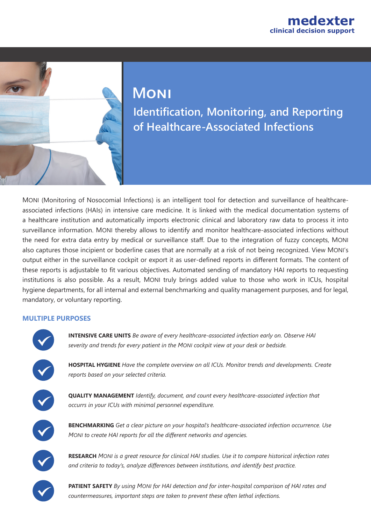# **Moni**

**Identification, Monitoring, and Reporting of Healthcare-Associated Infections**

MONI (Monitoring of Nosocomial Infections) is an intelligent tool for detection and surveillance of healthcareassociated infections (HAIs) in intensive care medicine. It is linked with the medical documentation systems of a healthcare institution and automatically imports electronic clinical and laboratory raw data to process it into surveillance information. MONI thereby allows to identify and monitor healthcare-associated infections without the need for extra data entry by medical or surveillance staff. Due to the integration of fuzzy concepts, MONI also captures those incipient or boderline cases that are normally at a risk of not being recognized. View MONI's output either in the surveillance cockpit or export it as user-defined reports in different formats. The content of these reports is adjustable to fit various objectives. Automated sending of mandatory HAI reports to requesting institutions is also possible. As a result, MONI truly brings added value to those who work in ICUs, hospital hygiene departments, for all internal and external benchmarking and quality management purposes, and for legal, mandatory, or voluntary reporting.

#### **MULTIPLE PURPOSES**

< < < <

**HOSPITAL HYGIENE** *Have the complete overview on all ICUs. Monitor trends and developments. Create reports based on your selected criteria.*

**INTENSIVE CARE UNITS** *Be aware of every healthcare-associated infection early on. Observe HAI* 

*severity and trends for every patient in the MONI cockpit view at your desk or bedside.*

**QUALITY MANAGEMENT** *Identify, document, and count every healthcare-associated infection that occurrs in your ICUs with minimal personnel expenditure.*



**BENCHMARKING** *Get a clear picture on your hospital's healthcare-associated infection occurrence. Use MONI to create HAI reports for all the different networks and agencies.* 



**RESEARCH** *MONI is a great resource for clinical HAI studies. Use it to compare historical infection rates and criteria to today's, analyze differences between institutions, and identify best practice.*

**PATIENT SAFETY** *By using MONI for HAI detection and for inter-hospital comparison of HAI rates and countermeasures, important steps are taken to prevent these often lethal infections.*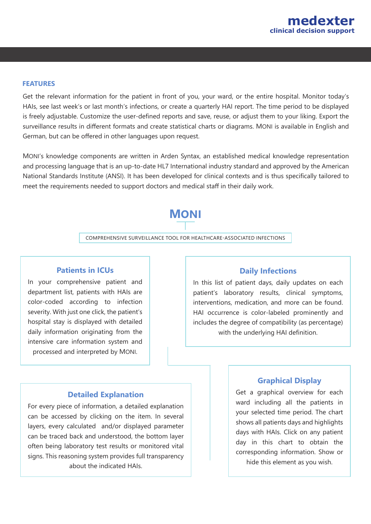

#### **FEATURES**

Get the relevant information for the patient in front of you, your ward, or the entire hospital. Monitor today's HAIs, see last week's or last month's infections, or create a quarterly HAI report. The time period to be displayed is freely adjustable. Customize the user-defined reports and save, reuse, or adjust them to your liking. Export the surveillance results in different formats and create statistical charts or diagrams. MONI is available in English and German, but can be offered in other languages upon request.

MONI's knowledge components are written in Arden Syntax, an established medical knowledge representation and processing language that is an up-to-date HL7 International industry standard and approved by the American National Standards Institute (ANSI). It has been developed for clinical contexts and is thus specifically tailored to meet the requirements needed to support doctors and medical staff in their daily work.

## **MONI**

COMPREHENSIVE SURVEILLANCE TOOL FOR HEALTHCARE-ASSOCIATED INFECTIONS

#### **Patients in ICUs**

In your comprehensive patient and department list, patients with HAIs are color-coded according to infection severity. With just one click, the patient's hospital stay is displayed with detailed daily information originating from the intensive care information system and processed and interpreted by MONI.

#### **Daily Infections**

In this list of patient days, daily updates on each patient's laboratory results, clinical symptoms, interventions, medication, and more can be found. HAI occurrence is color-labeled prominently and includes the degree of compatibility (as percentage) with the underlying HAI definition.

#### **Detailed Explanation**

For every piece of information, a detailed explanation can be accessed by clicking on the item. In several layers, every calculated and/or displayed parameter can be traced back and understood, the bottom layer often being laboratory test results or monitored vital signs. This reasoning system provides full transparency about the indicated HAIs.

#### **Graphical Display**

Get a graphical overview for each ward including all the patients in your selected time period. The chart shows all patients days and highlights days with HAIs. Click on any patient day in this chart to obtain the corresponding information. Show or hide this element as you wish.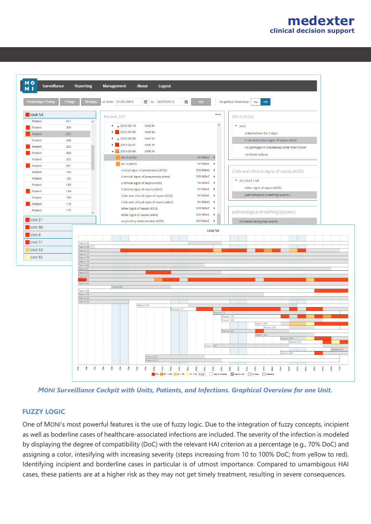



*MONI Surveillance Cockpit with Units, Patients, and Infections. Graphical Overview for one Unit.*

#### **FUZZY LOGIC**

One of MONI's most powerful features is the use of fuzzy logic. Due to the integration of fuzzy concepts, incipient as well as boderline cases of healthcare-associated infections are included. The severity of the infection is modeled by displaying the degree of compatibility (DoC) with the relevant HAI criterion as a percentage (e.g., 70% DoC) and assigning a color, intesifying with increasing severity (steps increasing from 10 to 100% DoC; from yellow to red). Identifying incipient and borderline cases in particular is of utmost importance. Compared to umambigous HAI cases, these patients are at a higher risk as they may not get timely treatment, resulting in severe consequences.